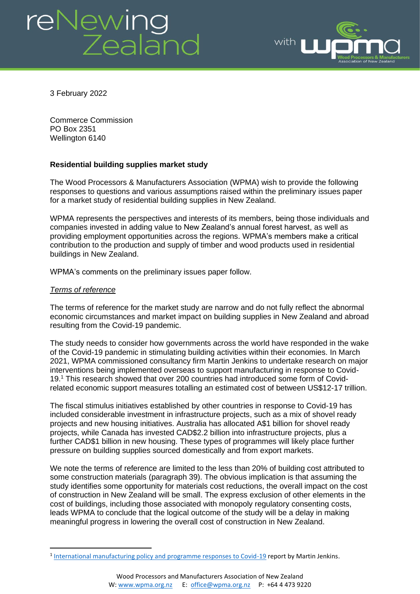# reNewing<br>Zealand



3 February 2022

Commerce Commission PO Box 2351 Wellington 6140

# **Residential building supplies market study**

The Wood Processors & Manufacturers Association (WPMA) wish to provide the following responses to questions and various assumptions raised within the preliminary issues paper for a market study of residential building supplies in New Zealand.

WPMA represents the perspectives and interests of its members, being those individuals and companies invested in adding value to New Zealand's annual forest harvest, as well as providing employment opportunities across the regions. WPMA's members make a critical contribution to the production and supply of timber and wood products used in residential buildings in New Zealand.

WPMA's comments on the preliminary issues paper follow.

### *Terms of reference*

The terms of reference for the market study are narrow and do not fully reflect the abnormal economic circumstances and market impact on building supplies in New Zealand and abroad resulting from the Covid-19 pandemic.

The study needs to consider how governments across the world have responded in the wake of the Covid-19 pandemic in stimulating building activities within their economies. In March 2021, WPMA commissioned consultancy firm Martin Jenkins to undertake research on major interventions being implemented overseas to support manufacturing in response to Covid-19. <sup>1</sup> This research showed that over 200 countries had introduced some form of Covidrelated economic support measures totalling an estimated cost of between US\$12-17 trillion.

The fiscal stimulus initiatives established by other countries in response to Covid-19 has included considerable investment in infrastructure projects, such as a mix of shovel ready projects and new housing initiatives. Australia has allocated A\$1 billion for shovel ready projects, while Canada has invested CAD\$2.2 billion into infrastructure projects, plus a further CAD\$1 billion in new housing. These types of programmes will likely place further pressure on building supplies sourced domestically and from export markets.

We note the terms of reference are limited to the less than 20% of building cost attributed to some construction materials (paragraph 39). The obvious implication is that assuming the study identifies some opportunity for materials cost reductions, the overall impact on the cost of construction in New Zealand will be small. The express exclusion of other elements in the cost of buildings, including those associated with monopoly regulatory consenting costs, leads WPMA to conclude that the logical outcome of the study will be a delay in making meaningful progress in lowering the overall cost of construction in New Zealand.

<sup>&</sup>lt;sup>1</sup> [International manufacturing policy and programme responses to Covid-19](https://www.wpma.org.nz/uploads/1/3/2/8/132870817/wpma_international_manufacturing_policy_and_programme_responses_to_covid.pdf) report by Martin Jenkins.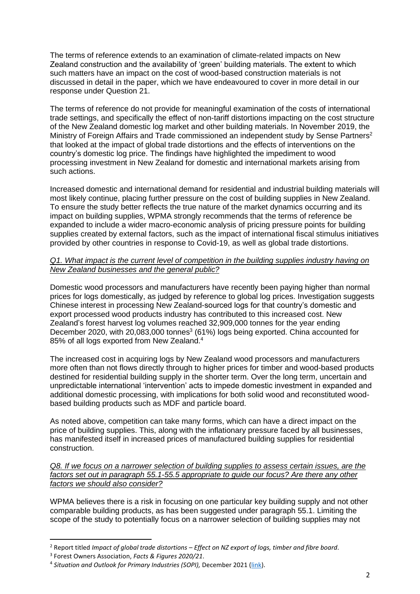The terms of reference extends to an examination of climate-related impacts on New Zealand construction and the availability of 'green' building materials. The extent to which such matters have an impact on the cost of wood-based construction materials is not discussed in detail in the paper, which we have endeavoured to cover in more detail in our response under Question 21.

The terms of reference do not provide for meaningful examination of the costs of international trade settings, and specifically the effect of non-tariff distortions impacting on the cost structure of the New Zealand domestic log market and other building materials. In November 2019, the Ministry of Foreign Affairs and Trade commissioned an independent study by Sense Partners<sup>2</sup> that looked at the impact of global trade distortions and the effects of interventions on the country's domestic log price. The findings have highlighted the impediment to wood processing investment in New Zealand for domestic and international markets arising from such actions.

Increased domestic and international demand for residential and industrial building materials will most likely continue, placing further pressure on the cost of building supplies in New Zealand. To ensure the study better reflects the true nature of the market dynamics occurring and its impact on building supplies, WPMA strongly recommends that the terms of reference be expanded to include a wider macro-economic analysis of pricing pressure points for building supplies created by external factors, such as the impact of international fiscal stimulus initiatives provided by other countries in response to Covid-19, as well as global trade distortions.

## *Q1. What impact is the current level of competition in the building supplies industry having on New Zealand businesses and the general public?*

Domestic wood processors and manufacturers have recently been paying higher than normal prices for logs domestically, as judged by reference to global log prices. Investigation suggests Chinese interest in processing New Zealand-sourced logs for that country's domestic and export processed wood products industry has contributed to this increased cost. New Zealand's forest harvest log volumes reached 32,909,000 tonnes for the year ending December 2020, with 20,083,000 tonnes<sup>3</sup> (61%) logs being exported. China accounted for 85% of all logs exported from New Zealand.<sup>4</sup>

The increased cost in acquiring logs by New Zealand wood processors and manufacturers more often than not flows directly through to higher prices for timber and wood-based products destined for residential building supply in the shorter term. Over the long term, uncertain and unpredictable international 'intervention' acts to impede domestic investment in expanded and additional domestic processing, with implications for both solid wood and reconstituted woodbased building products such as MDF and particle board.

As noted above, competition can take many forms, which can have a direct impact on the price of building supplies. This, along with the inflationary pressure faced by all businesses, has manifested itself in increased prices of manufactured building supplies for residential construction.

*Q8. If we focus on a narrower selection of building supplies to assess certain issues, are the factors set out in paragraph 55.1-55.5 appropriate to guide our focus? Are there any other factors we should also consider?*

WPMA believes there is a risk in focusing on one particular key building supply and not other comparable building products, as has been suggested under paragraph 55.1. Limiting the scope of the study to potentially focus on a narrower selection of building supplies may not

<sup>2</sup> Report titled *Impact of global trade distortions – Effect on NZ export of logs, timber and fibre board.*

<sup>3</sup> Forest Owners Association, *Facts & Figures 2020/21*.

<sup>&</sup>lt;sup>4</sup> Situation and Outlook for Primary Industries (SOPI), December 2021 (<u>link</u>).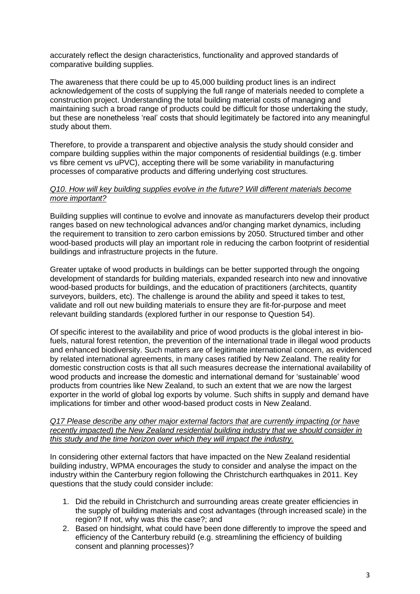accurately reflect the design characteristics, functionality and approved standards of comparative building supplies.

The awareness that there could be up to 45,000 building product lines is an indirect acknowledgement of the costs of supplying the full range of materials needed to complete a construction project. Understanding the total building material costs of managing and maintaining such a broad range of products could be difficult for those undertaking the study, but these are nonetheless 'real' costs that should legitimately be factored into any meaningful study about them.

Therefore, to provide a transparent and objective analysis the study should consider and compare building supplies within the major components of residential buildings (e.g. timber vs fibre cement vs uPVC), accepting there will be some variability in manufacturing processes of comparative products and differing underlying cost structures.

## *Q10. How will key building supplies evolve in the future? Will different materials become more important?*

Building supplies will continue to evolve and innovate as manufacturers develop their product ranges based on new technological advances and/or changing market dynamics, including the requirement to transition to zero carbon emissions by 2050. Structured timber and other wood-based products will play an important role in reducing the carbon footprint of residential buildings and infrastructure projects in the future.

Greater uptake of wood products in buildings can be better supported through the ongoing development of standards for building materials, expanded research into new and innovative wood-based products for buildings, and the education of practitioners (architects, quantity surveyors, builders, etc). The challenge is around the ability and speed it takes to test, validate and roll out new building materials to ensure they are fit-for-purpose and meet relevant building standards (explored further in our response to Question 54).

Of specific interest to the availability and price of wood products is the global interest in biofuels, natural forest retention, the prevention of the international trade in illegal wood products and enhanced biodiversity. Such matters are of legitimate international concern, as evidenced by related international agreements, in many cases ratified by New Zealand. The reality for domestic construction costs is that all such measures decrease the international availability of wood products and increase the domestic and international demand for 'sustainable' wood products from countries like New Zealand, to such an extent that we are now the largest exporter in the world of global log exports by volume. Such shifts in supply and demand have implications for timber and other wood-based product costs in New Zealand.

#### *Q17 Please describe any other major external factors that are currently impacting (or have recently impacted) the New Zealand residential building industry that we should consider in this study and the time horizon over which they will impact the industry.*

In considering other external factors that have impacted on the New Zealand residential building industry, WPMA encourages the study to consider and analyse the impact on the industry within the Canterbury region following the Christchurch earthquakes in 2011. Key questions that the study could consider include:

- 1. Did the rebuild in Christchurch and surrounding areas create greater efficiencies in the supply of building materials and cost advantages (through increased scale) in the region? If not, why was this the case?; and
- 2. Based on hindsight, what could have been done differently to improve the speed and efficiency of the Canterbury rebuild (e.g. streamlining the efficiency of building consent and planning processes)?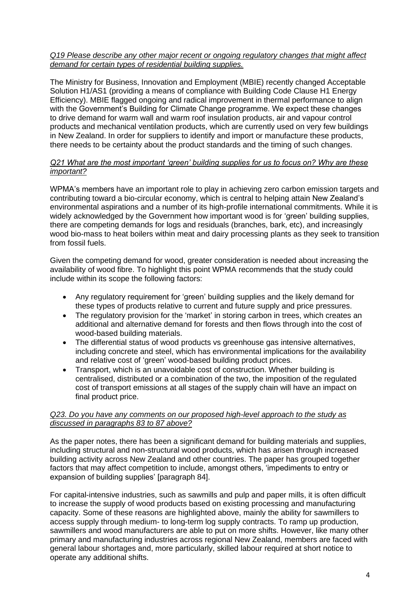## *Q19 Please describe any other major recent or ongoing regulatory changes that might affect demand for certain types of residential building supplies.*

The Ministry for Business, Innovation and Employment (MBIE) recently changed Acceptable Solution H1/AS1 (providing a means of compliance with Building Code Clause H1 Energy Efficiency). MBIE flagged ongoing and radical improvement in thermal performance to align with the Government's Building for Climate Change programme. We expect these changes to drive demand for warm wall and warm roof insulation products, air and vapour control products and mechanical ventilation products, which are currently used on very few buildings in New Zealand. In order for suppliers to identify and import or manufacture these products, there needs to be certainty about the product standards and the timing of such changes.

## *Q21 What are the most important 'green' building supplies for us to focus on? Why are these important?*

WPMA's members have an important role to play in achieving zero carbon emission targets and contributing toward a bio-circular economy, which is central to helping attain New Zealand's environmental aspirations and a number of its high-profile international commitments. While it is widely acknowledged by the Government how important wood is for 'green' building supplies, there are competing demands for logs and residuals (branches, bark, etc), and increasingly wood bio-mass to heat boilers within meat and dairy processing plants as they seek to transition from fossil fuels.

Given the competing demand for wood, greater consideration is needed about increasing the availability of wood fibre. To highlight this point WPMA recommends that the study could include within its scope the following factors:

- Any regulatory requirement for 'green' building supplies and the likely demand for these types of products relative to current and future supply and price pressures.
- The regulatory provision for the 'market' in storing carbon in trees, which creates an additional and alternative demand for forests and then flows through into the cost of wood-based building materials.
- The differential status of wood products vs greenhouse gas intensive alternatives, including concrete and steel, which has environmental implications for the availability and relative cost of 'green' wood-based building product prices.
- Transport, which is an unavoidable cost of construction. Whether building is centralised, distributed or a combination of the two, the imposition of the regulated cost of transport emissions at all stages of the supply chain will have an impact on final product price.

### *Q23. Do you have any comments on our proposed high-level approach to the study as discussed in paragraphs 83 to 87 above?*

As the paper notes, there has been a significant demand for building materials and supplies, including structural and non-structural wood products, which has arisen through increased building activity across New Zealand and other countries. The paper has grouped together factors that may affect competition to include, amongst others, 'impediments to entry or expansion of building supplies' [paragraph 84].

For capital-intensive industries, such as sawmills and pulp and paper mills, it is often difficult to increase the supply of wood products based on existing processing and manufacturing capacity. Some of these reasons are highlighted above, mainly the ability for sawmillers to access supply through medium- to long-term log supply contracts. To ramp up production, sawmillers and wood manufacturers are able to put on more shifts. However, like many other primary and manufacturing industries across regional New Zealand, members are faced with general labour shortages and, more particularly, skilled labour required at short notice to operate any additional shifts.